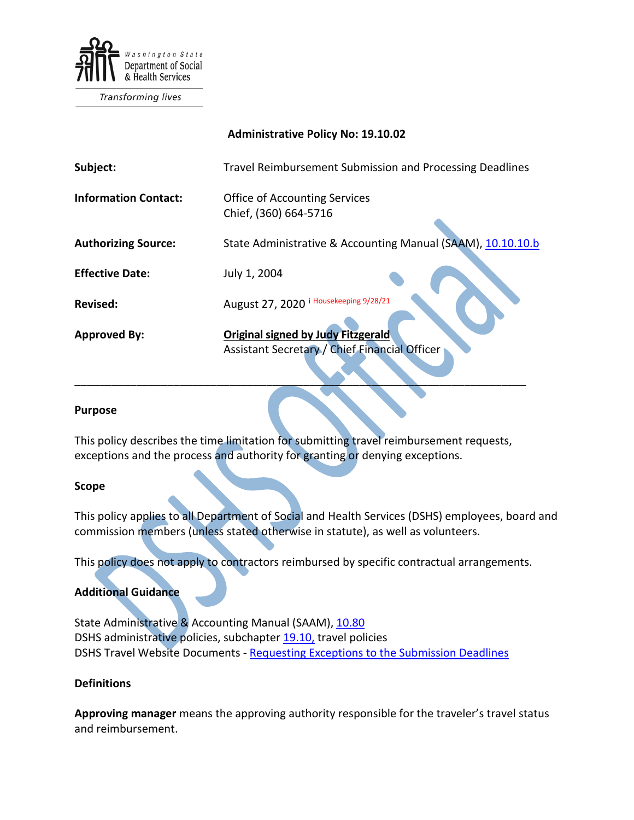

Transforming lives

### **Administrative Policy No: 19.10.02**

| Subject:                    | Travel Reimbursement Submission and Processing Deadlines                                   |  |
|-----------------------------|--------------------------------------------------------------------------------------------|--|
| <b>Information Contact:</b> | <b>Office of Accounting Services</b><br>Chief, (360) 664-5716                              |  |
| <b>Authorizing Source:</b>  | State Administrative & Accounting Manual (SAAM), 10.10.10.b                                |  |
| <b>Effective Date:</b>      | July 1, 2004                                                                               |  |
| Revised:                    | August 27, 2020 i Housekeeping 9/28/21                                                     |  |
| <b>Approved By:</b>         | <b>Original signed by Judy Fitzgerald</b><br>Assistant Secretary / Chief Financial Officer |  |

#### **Purpose**

This policy describes the time limitation for submitting travel reimbursement requests, exceptions and the process and authority for granting or denying exceptions.

\_\_\_\_\_\_\_\_\_\_\_\_\_\_\_\_\_\_\_\_\_\_\_\_\_\_\_\_\_\_\_\_\_\_\_\_\_\_\_\_\_\_\_\_\_\_\_\_\_\_\_\_\_\_\_\_\_\_\_\_\_\_\_\_\_\_\_\_\_\_\_\_\_

#### **Scope**

This policy applies to all Department of Social and Health Services (DSHS) employees, board and commission members (unless stated otherwise in statute), as well as volunteers.

This policy does not apply to contractors reimbursed by specific contractual arrangements.

## **Additional Guidance**

State Administrative & Accounting Manual (SAAM), [10.80](https://ofm.wa.gov/sites/default/files/public/legacy/policy/10.80.htm) DSHS administrative policies, subchapter [19.10,](http://one.dshs.wa.lcl/policies/Pages/default.aspx) travel policies DSHS Travel Website Documents - [Requesting Exceptions to the Submission Deadlines](http://one.dshs.wa.lcl/FS/Fiscal/Accounting/Travel/Documents/Forms/AllItems.aspx)

## **Definitions**

**Approving manager** means the approving authority responsible for the traveler's travel status and reimbursement.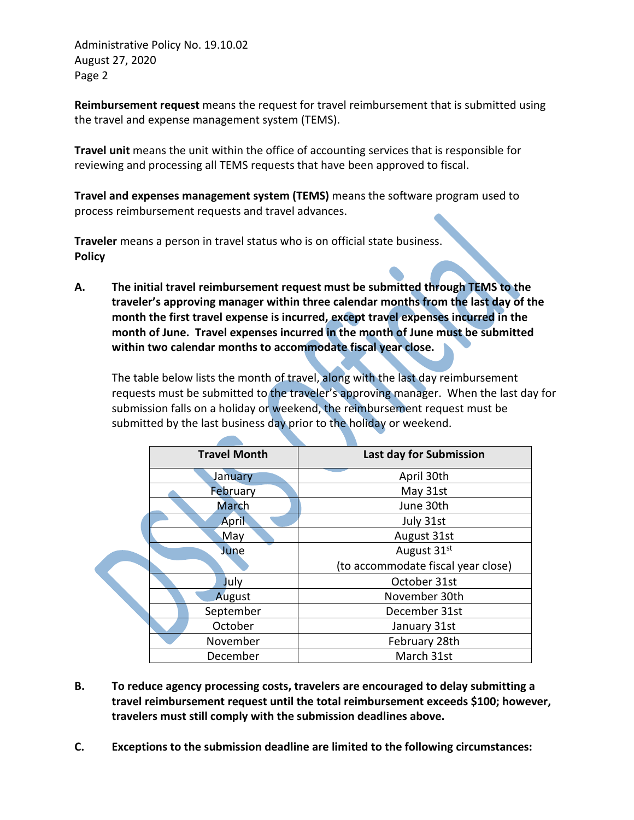Administrative Policy No. 19.10.02 August 27, 2020 Page 2

**Reimbursement request** means the request for travel reimbursement that is submitted using the travel and expense management system (TEMS).

**Travel unit** means the unit within the office of accounting services that is responsible for reviewing and processing all TEMS requests that have been approved to fiscal.

**Travel and expenses management system (TEMS)** means the software program used to process reimbursement requests and travel advances.

**Traveler** means a person in travel status who is on official state business. **Policy**

**A. The initial travel reimbursement request must be submitted through TEMS to the traveler's approving manager within three calendar months from the last day of the month the first travel expense is incurred, except travel expenses incurred in the month of June. Travel expenses incurred in the month of June must be submitted within two calendar months to accommodate fiscal year close.** 

The table below lists the month of travel, along with the last day reimbursement requests must be submitted to the traveler's approving manager. When the last day for submission falls on a holiday or weekend, the reimbursement request must be submitted by the last business day prior to the holiday or weekend.

|          | <b>Travel Month</b> | Last day for Submission            |
|----------|---------------------|------------------------------------|
|          | January             | April 30th                         |
|          | February            | May 31st                           |
|          | <b>March</b>        | June 30th                          |
|          | <b>April</b>        | July 31st                          |
|          | May                 | August 31st                        |
| June     |                     | August 31st                        |
|          |                     | (to accommodate fiscal year close) |
|          | July                | October 31st                       |
|          | August              | November 30th                      |
|          | September           | December 31st                      |
|          | October             | January 31st                       |
| November |                     | February 28th                      |
|          | December            | March 31st                         |

- **B. To reduce agency processing costs, travelers are encouraged to delay submitting a travel reimbursement request until the total reimbursement exceeds \$100; however, travelers must still comply with the submission deadlines above.**
- **C. Exceptions to the submission deadline are limited to the following circumstances:**